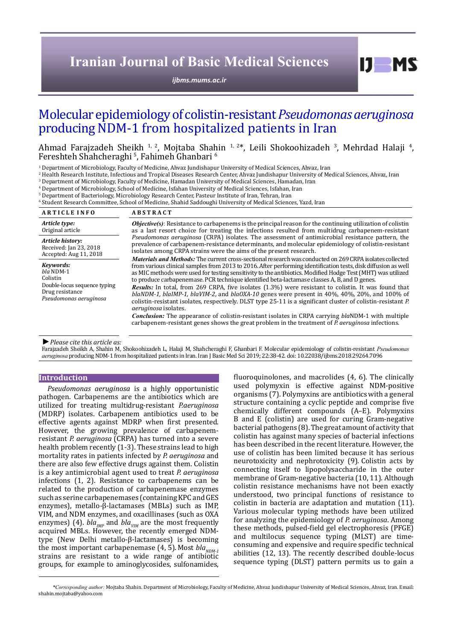# **Iranian Journal of Basic Medical Sciences**

*[ijbms.mums.ac.ir](http://ijbms.mums.ac.ir)*

# Molecular epidemiology of colistin-resistant *Pseudomonas aeruginosa* producing NDM-1 from hospitalized patients in Iran

Ahmad Farajzadeh Sheikh <sup>1, 2</sup>, Mojtaba Shahin <sup>1, 2</sup>\*, Leili Shokoohizadeh <sup>3</sup>, Mehrdad Halaji <sup>4</sup>,<br>Fereshteh Shahcheraghi <sup>5</sup>, Fahimeh Ghanbari <sup>6</sup> Fereshteh Shahcheraghi<sup>5</sup>, Fahimeh Ghanbari<sup>6</sup>

1 Department of Microbiology, Faculty of Medicine, Ahvaz Jundishapur University of Medical Sciences, Ahvaz, Iran

2 Health Research Institute, Infectious and Tropical Diseases Research Center, Ahvaz Jundishapur University of Medical Sciences, Ahvaz, Iran

3 Department of Microbiology, Faculty of Medicine, Hamadan University of Medical Sciences, Hamadan, Iran

4 Department of Microbiology, School of Medicine, Isfahan University of Medical Sciences, Isfahan, Iran

 $^{\rm 5}$  Department of Bacteriology, Microbiology Research Center, Pasteur Institute of Iran, Tehran, Iran

6 Student Research Committee, School of Medicine, Shahid Saddoughi University of Medical Sciences, Yazd, Iran

| <b>ARTICLE INFO</b>                                                                                               | <b>ABSTRACT</b>                                                                                                                                                                                                                                                                                                                                                                                                                                                                                                                                                                                                                                                                                                                                                                                                                                                                                                                                                                                                                          |
|-------------------------------------------------------------------------------------------------------------------|------------------------------------------------------------------------------------------------------------------------------------------------------------------------------------------------------------------------------------------------------------------------------------------------------------------------------------------------------------------------------------------------------------------------------------------------------------------------------------------------------------------------------------------------------------------------------------------------------------------------------------------------------------------------------------------------------------------------------------------------------------------------------------------------------------------------------------------------------------------------------------------------------------------------------------------------------------------------------------------------------------------------------------------|
| Article type:                                                                                                     | <b><i>Objective(s)</i></b> : Resistance to carbapenems is the principal reason for the continuing utilization of colistin                                                                                                                                                                                                                                                                                                                                                                                                                                                                                                                                                                                                                                                                                                                                                                                                                                                                                                                |
| Original article                                                                                                  | as a last resort choice for treating the infections resulted from multidrug carbapenem-resistant                                                                                                                                                                                                                                                                                                                                                                                                                                                                                                                                                                                                                                                                                                                                                                                                                                                                                                                                         |
| Article history:                                                                                                  | <i>Pseudomonas aeruginosa</i> (CRPA) isolates. The assessment of antimicrobial resistance pattern, the                                                                                                                                                                                                                                                                                                                                                                                                                                                                                                                                                                                                                                                                                                                                                                                                                                                                                                                                   |
| Received: Jan 23, 2018                                                                                            | prevalence of carbapenem-resistance determinants, and molecular epidemiology of colistin-resistant                                                                                                                                                                                                                                                                                                                                                                                                                                                                                                                                                                                                                                                                                                                                                                                                                                                                                                                                       |
| Accepted: Aug 11, 2018                                                                                            | isolates among CRPA strains were the aims of the present research.                                                                                                                                                                                                                                                                                                                                                                                                                                                                                                                                                                                                                                                                                                                                                                                                                                                                                                                                                                       |
| Kevwords:<br>$bla$ NDM-1<br>Colistin<br>Double-locus sequence typing<br>Drug resistance<br>Pseudomonas aeruginosa | <i>Materials and Methods:</i> The current cross-sectional research was conducted on 269 CRPA isolates collected<br>from various clinical samples from 2013 to 2016. After performing identification tests, disk diffusion as well<br>as MIC methods were used for testing sensitivity to the antibiotics. Modified Hodge Test (MHT) was utilized<br>to produce carbapenemase. PCR technique identified beta-lactamase classes A, B, and D genes.<br>Results: In total, from 269 CRPA, five isolates (1.3%) were resistant to colistin. It was found that<br>$blaNDM-1$ , $blaIMP-1$ , $blaVIM-2$ , and $blaOXA-10$ genes were present in 40%, 40%, 20%, and 100% of<br>colistin-resistant isolates, respectively. DLST type 25-11 is a significant cluster of colistin-resistant P.<br><i>aeruginosa</i> isolates.<br><b>Conclusion:</b> The appearance of colistin-resistant isolates in CRPA carrying blaNDM-1 with multiple<br>carbapenem-resistant genes shows the great problem in the treatment of P <i>aeruginosa</i> infections. |

*►Please cite this article as:*

Farajzadeh Sheikh A, Shahin M, Shokoohizadeh L, Halaji M, Shahcheraghi F, Ghanbari F. Molecular epidemiology of colistin-resistant *Pseudomonas aeruginosa* producing NDM-1 from hospitalized patients in Iran. Iran J Basic Med Sci 2019; 22:38-42. doi: 10.22038/ijbms.2018.29264.7096

#### **Introduction**

*Pseudomonas aeruginosa* is a highly opportunistic pathogen. Carbapenems are the antibiotics which are utilized for treating multidrug-resistant *P.aeruginosa* (MDRP) isolates. Carbapenem antibiotics used to be effective agents against MDRP when first presented. However, the growing prevalence of carbapenemresistant *P. aeruginosa* (CRPA) has turned into a severe health problem recently (1-3). These strains lead to high mortality rates in patients infected by *P. aeruginosa* and there are also few effective drugs against them. Colistin is a key antimicrobial agent used to treat *P. aeruginosa*  infections (1, 2). Resistance to carbapenems can be related to the production of carbapenemase enzymes such as serine carbapenemases (containing KPC and GES enzymes), metallo-β-lactamases (MBLs) such as IMP, VIM, and NDM enzymes, and oxacillinases (such as OXA enzymes) (4).  $bla_{MP}$  and  $bla_{VIM}$  are the most frequently acquired MBLs. However, the recently emerged NDMtype (New Delhi metallo-β-lactamases) is becoming the most important carbapenemase  $(4, 5)$ . Most  $bla_{NDM-1}$ strains are resistant to a wide range of antibiotic groups, for example to aminoglycosides, sulfonamides,

fluoroquinolones, and macrolides (4, 6). The clinically used polymyxin is effective against NDM-positive organisms (7). Polymyxins are antibioticswith a general structure containing a cyclic [peptide](https://en.wikipedia.org/wiki/Peptide) and comprise five chemically different compounds (A–E). Polymyxins B and E (colistin) are used for curing Gram-negative bacterial pathogens (8). The great amount of activity that colistin has against many species of bacterial infections has been described in the recent literature. However, the use of colistin has been limited because it has serious neurotoxicity and nephrotoxicity (9). Colistin acts by connecting itself to lipopolysaccharide in the outer membrane of Gram-negative bacteria (10, 11). Although colistin resistance mechanisms have not been exactly understood, two principal functions of resistance to colistin in bacteria are adaptation and mutation (11). Various molecular typing methods have been utilized for analyzing the epidemiology of *P. aeruginosa*. Among these methods, pulsed-field gel electrophoresis (PFGE) and multilocus sequence typing (MLST) are timeconsuming and expensive and require specific technical abilities (12, 13). The recently described double-locus sequence typing (DLST) pattern permits us to gain a

 $I$   $I$   $M$   $S$ 

*\*Corresponding author:* Mojtaba Shahin. Department of Microbiology, Faculty of Medicine, Ahvaz Jundishapur University of Medical Sciences, Ahvaz, Iran. Email: shahin.mojtaba@yahoo.com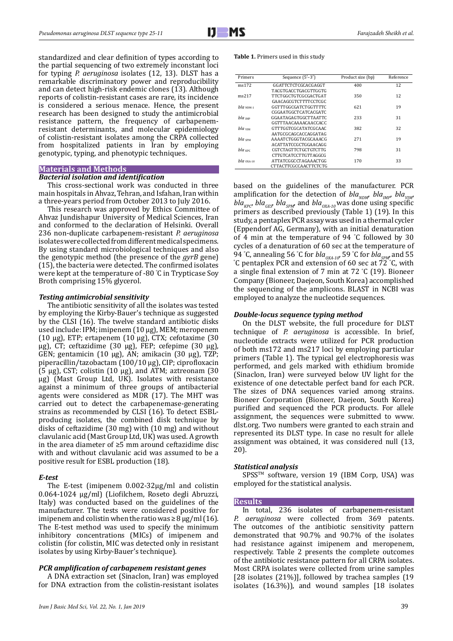standardized and clear definition of types according to the partial sequencing of two extremely inconstant loci for typing *P. aeruginosa* isolates (12, 13). DLST has a remarkable discriminatory power and reproducibility and can detect high-risk endemic clones (13). Although reports of colistin-resistant cases are rare, its incidence is considered a serious menace. Hence, the present research has been designed to study the antimicrobial resistance pattern, the frequency of carbapenemresistant determinants, and molecular epidemiology of colistin-resistant isolates among the CRPA collected from hospitalized patients in Iran by employing genotypic, typing, and phenotypic techniques.

# **Materials and Methods**

## *Bacterial isolation and identification*

This cross-sectional work was conducted in three main hospitals in Ahvaz, Tehran, and Isfahan, Iran within a three-years period from October 2013 to July 2016.

This research was approved by Ethics Committee of Ahvaz Jundishapur University of Medical Sciences, Iran and conformed to the declaration of Helsinki. Overall 236 non-duplicate carbapenem-resistant *P. aeruginosa* isolates were collected from different medical specimens. By using standard microbiological techniques and also the genotypic method (the presence of the *gyrB* gene) (15), the bacteria were detected. The confirmed isolates were kept at the temperature of -80 ° C in Trypticase Soy Broth comprising 15% glycerol.

### *Testing antimicrobial sensitivity*

The antibiotic sensitivity of all the isolates was tested by employing the Kirby-Bauer's technique as suggested by the CLSI (16). The twelve standard antibiotic disks used include: IPM; imipenem (10 μg), MEM; meropenem (10 μg), ETP; ertapenem (10 μg), CTX; cefotaxime (30 μg), CT; ceftazidime (30 μg), FEP; cefepime (30 μg), GEN; gentamicin (10 μg), AN; amikacin (30 μg), TZP; piperacillin/tazobactam (100/10 μg), CIP; ciprofloxacin (5 μg), CST; colistin  $(10 \mu g)$ , and ATM; aztreonam  $(30 \mu g)$ μg) (Mast Group Ltd, UK). Isolates with resistance against a minimum of three groups of antibacterial agents were considered as MDR  $(17)$ . The MHT was carried out to detect the carbapenemase-generating strains as recommended by CLSI (16). To detect ESBLproducing isolates, the combined disk technique by disks of ceftazidime (30 mg) with (10 mg) and without clavulanic acid (Mast Group Ltd, UK) was used. A growth in the area diameter of ≥5 mm around ceftazidime disc with and without clavulanic acid was assumed to be a positive result for ESBL production (18).

# *E-test*

The E-test (imipenem 0.002-32μg/ml and colistin 0.064-1024 μg/ml) (Liofilchem, Roseto degli Abruzzi, Italy) was conducted based on the guidelines of the manufacturer. The tests were considered positive for imipenem and colistin when the ratio was  $\geq 8 \mu g/ml$  (16). The E-test method was used to specify the minimum inhibitory concentrations (MICs) of imipenem and colistin (for colistin, MIC was detected only in resistant isolates by using Kirby-Bauer's technique).

# *PCR amplification of carbapenem resistant genes*

A DNA extraction set (Sinaclon, Iran) was employed for DNA extraction from the colistin-resistant isolates

#### **Table 1.** Primers used in this study

| Primers            | Sequence $(5'-3')$    | Product size (bp) | Reference |
|--------------------|-----------------------|-------------------|-----------|
| ms172              | GGATTCTCTCGCACGAGGT   | 400               | 12        |
|                    | TACGTGACCTGACGTTGGTG  |                   |           |
| ms217              | TTCTGGCTGTCGCGACTGAT  | 350               | 12        |
|                    | GAACAGCGTCTTTTCCTCGC  |                   |           |
| $h/a_{NDM-1}$      | GGTTTGGCGATCTGGTTTTC  | 621               | 19        |
|                    | CGGAATGGCTCATCACGATC  |                   |           |
| $bla$ $\mu$        | GGAATAGAGTGGCTTAATTC  | 233               | 31        |
|                    | GGTTTAACAAAACAACCACC  |                   |           |
| <b>bla</b> vим     | GTTTGGTCGCATATCGCAAC  | 382               | 32        |
|                    | AATGCGCAGCACCAGGATAG  |                   |           |
| bla spM            | AAAATCTGGGTACGCAAACG  | 271               | 19        |
|                    | ACATTATCCGCTGGAACAGG  |                   |           |
| bla <sub>KPC</sub> | CGTCTAGTTCTGCTGTCTTG  | 798               | 31        |
|                    | CTTGTCATCCTTGTTAGGCG  |                   |           |
| $bla$ $oxA-10$     | ATTATCGGCCTAGAAACTGG  | 170               | 33        |
|                    | CTTACTTCGCCAACTTCTCTG |                   |           |

based on the guidelines of the manufacturer. PCR amplification for the detection of  $bla_{NDM}$ ,  $bla_{INM}$ ,  $bla_{VIM}$  $bla_{KPC}$ ,  $bla_{GES}$ ,  $bla_{SPM}$ , and  $bla_{OXA-10}$  was done using specific primers as described previously (Table 1) (19). In this study, a pentaplex PCR assay was used in a thermal cycler (Eppendorf AG, Germany), with an initial denaturation of 4 min at the temperature of 94 ° C followed by 30 cycles of a denaturation of 60 sec at the temperature of 94 °C, annealing 56 °C for *bla<sub>OXA-10</sub>*, 59 °C for *bla<sub>SPM</sub>* and 55<br>°C pentaplex PCR and extension of 60 sec at 72 °C, with C pentaplex PCR and extension of 60 sec at 72 ° C, with a single final extension of 7 min at 72 ° C (19). Bioneer Company (Bioneer, Daejeon, South Korea) accomplished the sequencing of the amplicons. BLAST in NCBI was employed to analyze the nucleotide sequences.

#### *Double-locus sequence typing method*

On the DLST website, the full procedure for DLST technique of *P. aeruginosa* is accessible. In brief, nucleotide extracts were utilized for PCR production of both ms172 and ms217 loci by employing particular primers (Table 1). The typical gel electrophoresis was performed, and gels marked with ethidium bromide (Sinaclon, Iran) were surveyed below UV light for the existence of one detectable perfect band for each PCR. The sizes of DNA sequences varied among strains. Bioneer Corporation (Bioneer, Daejeon, South Korea) purified and sequenced the PCR products. For allele assignment, the sequences were submitted to www. dlst.org. Two numbers were granted to each strain and represented its DLST type. In case no result for allele assignment was obtained, it was considered null (13, 20).

#### *Statistical analysis*

SPSS™ software, version 19 (IBM Corp, USA) was employed for the statistical analysis.

#### **Results**

In total, 236 isolates of carbapenem-resistant *aeruginosa* were collected from 369 patents. The outcomes of the antibiotic sensitivity pattern demonstrated that 90.7% and 90.7% of the isolates had resistance against imipenem and meropenem, respectively. Table 2 presents the complete outcomes of the antibiotic resistance pattern for all CRPA isolates. Most CRPA isolates were collected from urine samples [28 isolates (21%)], followed by trachea samples (19 isolates (16.3%)), and wound samples [18 isolates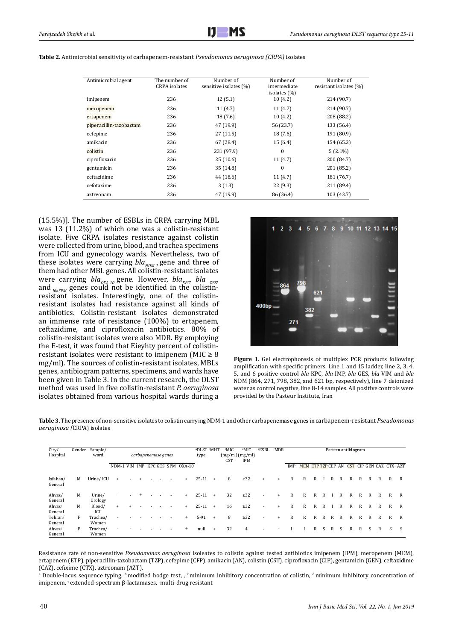| Table 2. Antimicrobial sensitivity of carbapenem-resistant <i>Pseudomonas aeruginosa (CRPA)</i> isolates |  |  |
|----------------------------------------------------------------------------------------------------------|--|--|
|----------------------------------------------------------------------------------------------------------|--|--|

| Antimicrobial agent     | The number of        | Number of              | Number of        | Number of              |
|-------------------------|----------------------|------------------------|------------------|------------------------|
|                         | <b>CRPA</b> isolates | sensitive isolates (%) | intermediate     | resistant isolates (%) |
|                         |                      |                        | isolates $(\% )$ |                        |
| imipenem                | 236                  | 12(5.1)                | 10(4.2)          | 214 (90.7)             |
| meropenem               | 236                  | 11(4.7)                | 11(4.7)          | 214 (90.7)             |
| ertapenem               | 236                  | 18(7.6)                | 10(4.2)          | 208 (88.2)             |
| piperacillin-tazobactam | 236                  | 47 (19.9)              | 56 (23.7)        | 133 (56.4)             |
| cefepime                | 236                  | 27(11.5)               | 18(7.6)          | 191 (80.9)             |
| amikacin                | 236                  | 67 (28.4)              | 15(6.4)          | 154 (65.2)             |
| colistin                | 236                  | 231 (97.9)             | $\Omega$         | $5(2.1\%)$             |
| ciprofloxacin           | 236                  | 25(10.6)               | 11(4.7)          | 200 (84.7)             |
| gentamicin              | 236                  | 35(14.8)               | $\theta$         | 201 (85.2)             |
| ceftazidime             | 236                  | 44 (18.6)              | 11(4.7)          | 181 (76.7)             |
| cefotaxime              | 236                  | 3(1.3)                 | 22(9.3)          | 211 (89.4)             |
| aztreonam               | 236                  | 47 (19.9)              | 86 (36.4)        | 103 (43.7)             |

(15.5%)]. The number of ESBLs in CRPA carrying MBL was 13 (11.2%) of which one was a colistin-resistant isolate. Five CRPA isolates resistance against colistin were collected from urine, blood, and trachea specimens from ICU and gynecology wards. Nevertheless, two of these isolates were carrying  $bla_{NDM-1}$  gene and three of them had other MBL genes. All colistin-resistant isolates were carrying *bla<sub>oxA-10</sub>* gene. However, *bla<sub>KPC</sub>*, *bla*<sub>GES</sub>, and *blaSPM* genes could not be identified in the colistinresistant isolates. Interestingly, one of the colistinresistant isolates had resistance against all kinds of antibiotics. Colistin-resistant isolates demonstrated an immense rate of resistance (100%) to ertapenem, ceftazidime, and ciprofloxacin antibiotics. 80% of colistin-resistant isolates were also MDR. By employing the E-test, it was found that Eieyhty percent of colistinresistant isolates were resistant to imipenem (MIC  $\geq 8$ ) mg/ml). The sources of colistin-resistant isolates, MBLs genes, antibiogram patterns, specimens, and wards have been given in Table 3. In the current research, the DLST method was used in five colistin-resistant *P. aeruginosa* isolates obtained from various hospital wards during a



**Figure 1.** Gel electrophoresis of multiplex PCR products following amplification with specific primers. Line 1 and 15 ladder, line 2, 3, 4, 5, and 6 positive control *bla* KPC, *bla* IMP, *bla* GES, *bla* VIM and *bla* NDM (864, 271, 798, 382, and 621 bp, respectively), line 7 deionized water as control negative, line 8-14 samples. All positive controls were provided by the Pasteur Institute, Iran

**Table 3.** The presence of non-sensitive isolates to colistin carrying NDM-1 and other carbapenemase genes in carbapenem-resistant *Pseudomonas aeruginosa (*CRPA) isolates

| City/<br>Hospital   | Gender | Sample/<br>ward   | carbapenemase genes      |  |  |  |  |                |                                  | <b>MDR</b><br>aDLST bMHT<br>dMIC<br>eESBL<br><b>MIC</b><br>(mg/ml)(mg/ml)<br>type<br><b>IPM</b><br><b>CST</b> |     |    |           |                          |     | Pattern antibiogram |                                            |   |   |   |   |   |   |   |   |   |   |  |
|---------------------|--------|-------------------|--------------------------|--|--|--|--|----------------|----------------------------------|---------------------------------------------------------------------------------------------------------------|-----|----|-----------|--------------------------|-----|---------------------|--------------------------------------------|---|---|---|---|---|---|---|---|---|---|--|
|                     |        |                   |                          |  |  |  |  |                | NDM-1 VIM IMP KPC GES SPM OXA-10 |                                                                                                               |     |    |           |                          |     | IMP                 | MEM ETP TZP CEP AN CST CIP GEN CAZ CTX AZT |   |   |   |   |   |   |   |   |   |   |  |
| Isfahan/<br>General | M      | Urine/ICU         | $+$                      |  |  |  |  | $\sim$         | $+$                              | $25-11 +$                                                                                                     |     | 8  | $\geq$ 32 | $+$                      | $+$ | R                   | R                                          | R |   | R | R | R | R | R | R | R | R |  |
| Ahvaz/<br>General   | M      | Urine/<br>Urology | $\overline{\phantom{a}}$ |  |  |  |  | $\overline{a}$ | $+$                              | $25 - 11$                                                                                                     | $+$ | 32 | $\geq$ 32 | $\sim$                   | $+$ | $\mathbb{R}$        | R                                          | R | R |   | R | R | R | R | R | R | R |  |
| Ahvaz/<br>General   | M      | Blood/<br>ICU     | $+$                      |  |  |  |  |                | $+$                              | $25-11$                                                                                                       | $+$ | 16 | $\geq$ 32 | ٠                        | $+$ | $\mathbb{R}$        | R                                          | R | R |   | R | R | R | R | R | R | R |  |
| Tehran/<br>General  | F      | Trachea/<br>Women | $\overline{\phantom{0}}$ |  |  |  |  |                | $^{+}$                           | $5-91$                                                                                                        | $+$ | 8  | $\geq$ 32 | $\overline{\phantom{a}}$ | $+$ | $\mathbb{R}$        | R                                          | R | R | R | R | R | R | R | R | R | R |  |
| Ahvaz/<br>General   | F      | Trachea/<br>Women | $\overline{\phantom{a}}$ |  |  |  |  |                | $+$                              | null                                                                                                          | $+$ | 32 | 4         | $\overline{\phantom{a}}$ |     |                     |                                            | R | S | R | S | R | R | S | R | S |   |  |

Resistance rate of non-sensitive *Pseudomonas aeruginosa* isoleates to colistin against tested antibiotics imipenem (IPM), meropenem (MEM), ertapenem (ETP), piperacillin-tazobactam (TZP), cefepime (CFP), amikacin (AN), colistin (CST), ciprofloxacin (CIP), gentamicin (GEN), ceftazidime (CAZ), cefixime (CTX), aztreonam (AZT).

<sup>a</sup> Double-locus sequence typing, <sup>b</sup> modified hodge test, , <sup>c</sup> minimum inhibitory concentration of colistin, <sup>a</sup> minimum inhibitory concentration of imipenem, <sup>e</sup> extended-spectrum β-lactamases, <sup>f</sup> multi-drug resistant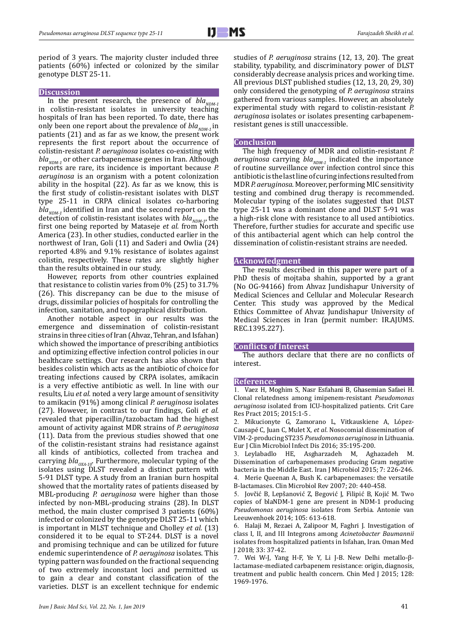period of 3 years. The majority cluster included three patients (60%) infected or colonized by the similar genotype DLST 25-11.

#### **Discussion**

In the present research, the presence of  $bla_{NDM-1}$ in colistin-resistant isolates in university teaching hospitals of Iran has been reported. To date, there has only been one report about the prevalence of  $bla_{NDM-1}$  in patients (21) and as far as we know, the present work represents the first report about the occurrence of colistin-resistant *P. aeruginosa* isolates co-existing with  $bla_{NDM-1}$  or other carbapenemase genes in Iran. Although reports are rare, its incidence is important because *P. aeruginosa* is an organism with a potent colonization ability in the hospital (22). As far as we know, this is the first study of colistin-resistant isolates with DLST type 25-11 in CRPA clinical isolates co-harboring  $bla_{NDM-1}$  identified in Iran and the second report on the detection of colistin-resistant isolates with  $bla_{NDM-1}$ , the first one being reported by Mataseje *et al.* from North America (23). In other studies, conducted earlier in the northwest of Iran, Goli (11) and Saderi and Owlia (24) reported 4.8% and 9.1% resistance of isolates against colistin, respectively. These rates are slightly higher than the results obtained in our study.

However, reports from other countries explained that resistance to colistin varies from 0% (25) to 31.7% (26). This discrepancy can be due to the misuse of drugs, dissimilar policies of hospitals for controlling the infection, sanitation, and topographical distribution.

Another notable aspect in our results was the emergence and dissemination of colistin-resistant strains in three cities of Iran (Ahvaz, Tehran, and Isfahan) which showed the importance of prescribing antibiotics and optimizing effective infection control policies in our healthcare settings. Our research has also shown that besides colistin which acts as the antibiotic of choice for treating infections caused by CRPA isolates, amikacin is a very effective antibiotic as well. In line with our results, Liu *et al.* noted a very large amount of sensitivity to amikacin (91%) among clinical *P. aeruginosa* isolates (27). However, in contrast to our findings, Goli *et al.* revealed that piperacillin/tazobactam had the highest amount of activity against MDR strains of *P. aeruginosa*  (11). Data from the previous studies showed that one of the colistin-resistant strains had resistance against all kinds of antibiotics, collected from trachea and carrying  $bla_{0XA-10}$ . Furthermore, molecular typing of the isolates using DLST revealed a distinct pattern with 5-91 DLST type*.* A study from an Iranian burn hospital showed that the mortality rates of patients diseased by MBL-producing *P. aeruginosa* were higher than those infected by non-MBL-producing strains (28). In DLST method, the main cluster comprised 3 patients (60%) infected or colonized by the genotype DLST 25-11 which is important in MLST technique and Cholley *et al.* (13) considered it to be equal to ST-244. DLST is a novel and promising technique and can be utilized for future endemic superintendence of *P. aeruginosa* isolates. This typing pattern was founded on the fractional sequencing of two extremely inconstant loci and permitted us to gain a clear and constant classification of the varieties. DLST is an excellent technique for endemic

studies of *P. aeruginosa* strains (12, 13, 20). The great stability, typability, and discriminatory power of DLST considerably decrease analysis prices and working time. All previous DLST published studies (12, 13, 20, 29, 30) only considered the genotyping of *P. aeruginosa* strains gathered from various samples. However, an absolutely experimental study with regard to colistin-resistant *P. aeruginosa* isolates or isolates presenting carbapenemresistant genes is still unaccessible.

#### **Conclusion**

The high frequency of MDR and colistin-resistant *P. aeruginosa* carrying  $bla_{NDM-1}$  indicated the importance of routine surveillance over infection control since this antibiotic is the last line of curing infections resulted from MDR *P. aeruginosa*. Moreover, performing MIC sensitivity testing and combined drug therapy is recommended. Molecular typing of the isolates suggested that DLST type 25-11 was a dominant clone and DLST 5-91 was a high-risk clone with resistance to all used antibiotics. Therefore, further studies for accurate and specific use of this antibacterial agent which can help control the dissemination of colistin-resistant strains are needed.

## **Acknowledgment**

The results described in this paper were part of a PhD thesis of mojtaba shahin, supported by a grant (No OG-94166) from Ahvaz Jundishapur University of Medical Sciences and Cellular and Molecular Research Center. This study was approved by the Medical Ethics Committee of Ahvaz Jundishapur University of Medical Sciences in Iran (permit number: IR.AJUMS. REC.1395.227).

#### **Conflicts of Interest**

The authors declare that there are no conflicts of interest.

# **References**

1. Vaez H, Moghim S, Nasr Esfahani B, Ghasemian Safaei H. Clonal relatedness among imipenem-resistant *Pseudomonas aeruginosa* isolated from ICU-hospitalized patients. Crit Care Res Pract 2015; 2015:1-5 .

2. Mikucionyte G, Zamorano L, Vitkauskiene A, López-Causapé C, Juan C, Mulet X, *et al*. Nosocomial dissemination of VIM*-*2-producing ST235 *Pseudomonas aeruginosa* in Lithuania. Eur J Clin Microbiol Infect Dis 2016; 35:195-200.

3. Leylabadlo HE, Asgharzadeh M, Aghazadeh M. Dissemination of carbapenemases producing Gram negative bacteria in the Middle East. Iran J Microbiol 2015; 7: 226-246. 4. Merie Queenan A, Bush K. carbapenemases: the versatile B-lactamases. Clin Microbiol Rev 2007; 20: 440-458.

5. Jovčić B, Lepšanović Z, Begović J, Filipić B, Kojić M. Two copies of blaNDM-1 gene are present in NDM-1 producing *Pseudomonas aeruginosa* isolates from Serbia. Antonie van Leeuwenhoek 2014; 105: 613-618.

6. Halaji M, Rezaei A, Zalipoor M, Faghri J. Investigation of class I, II, and III Integrons among *Acinetobacter Baumannii* isolates from hospitalized patients in Isfahan, Iran. [Oman Med](https://www.ncbi.nlm.nih.gov/pubmed/29467997) [J](https://www.ncbi.nlm.nih.gov/pubmed/29467997) 2018; 33: 37-42.

7. Wei W-J, Yang H-F, Ye Y, Li J-B. New Delhi metallo-βlactamase-mediated carbapenem resistance: origin, diagnosis, treatment and public health concern. Chin Med J 2015; 128: 1969-1976.